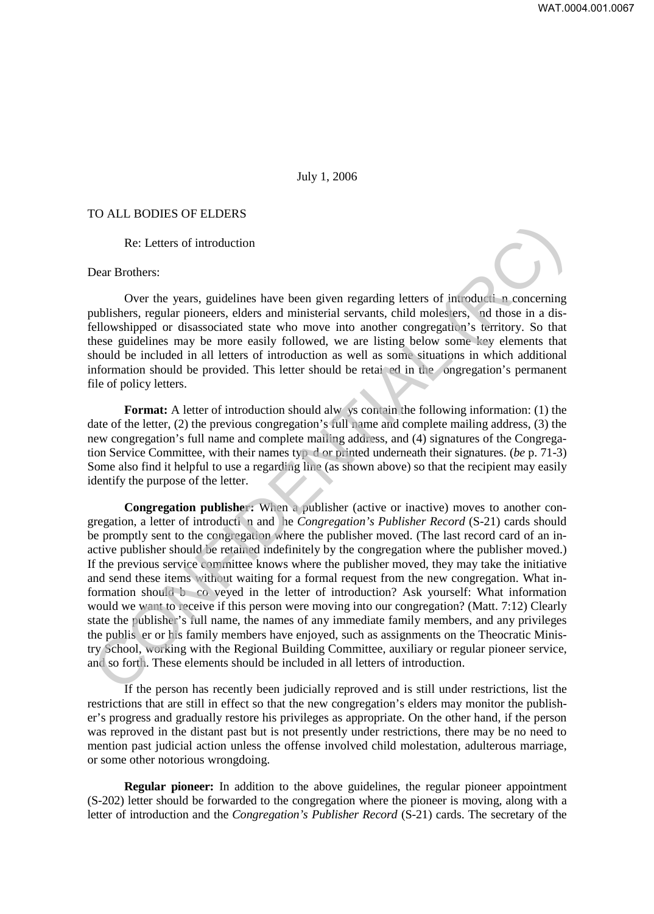## July 1, 2006

## TO ALL BODIES OF ELDERS

Re: Letters of introduction

## Dear Brothers:

Over the years, guidelines have been given regarding letters of introducti n concerning publishers, regular pioneers, elders and ministerial servants, child molesters, nd those in a disfellowshipped or disassociated state who move into another congregation's territory. So that these guidelines may be more easily followed, we are listing below some key elements that should be included in all letters of introduction as well as some situations in which additional information should be provided. This letter should be retai ed in the ongregation's permanent file of policy letters.

**Format:** A letter of introduction should alw ys contain the following information: (1) the date of the letter, (2) the previous congregation's full name and complete mailing address, (3) the new congregation's full name and complete mailing address, and (4) signatures of the Congregation Service Committee, with their names typ d or printed underneath their signatures. (*be* p. 71-3) Some also find it helpful to use a regarding line (as shown above) so that the recipient may easily identify the purpose of the letter.

**Congregation publisher:** When a publisher (active or inactive) moves to another congregation, a letter of introducti n and he *Congregation's Publisher Record* (S-21) cards should be promptly sent to the congregation where the publisher moved. (The last record card of an inactive publisher should be retained indefinitely by the congregation where the publisher moved.) If the previous service committee knows where the publisher moved, they may take the initiative and send these items without waiting for a formal request from the new congregation. What information should b co veyed in the letter of introduction? Ask yourself: What information would we want to receive if this person were moving into our congregation? (Matt. 7:12) Clearly state the publisher's full name, the names of any immediate family members, and any privileges the publis er or his family members have enjoyed, such as assignments on the Theocratic Ministry School, working with the Regional Building Committee, auxiliary or regular pioneer service, and so forth. These elements should be included in all letters of introduction. Re: Letters of introduction<br>
Oear Brothers:<br>
Oer He years, guidelines have been given regarding letters of introduction-<br>
Cover the years, regular pioneers, elders and ministerial servants, child molesters, and those in a

If the person has recently been judicially reproved and is still under restrictions, list the restrictions that are still in effect so that the new congregation's elders may monitor the publisher's progress and gradually restore his privileges as appropriate. On the other hand, if the person was reproved in the distant past but is not presently under restrictions, there may be no need to mention past judicial action unless the offense involved child molestation, adulterous marriage, or some other notorious wrongdoing.

**Regular pioneer:** In addition to the above guidelines, the regular pioneer appointment (S-202) letter should be forwarded to the congregation where the pioneer is moving, along with a letter of introduction and the *Congregation's Publisher Record* (S-21) cards. The secretary of the